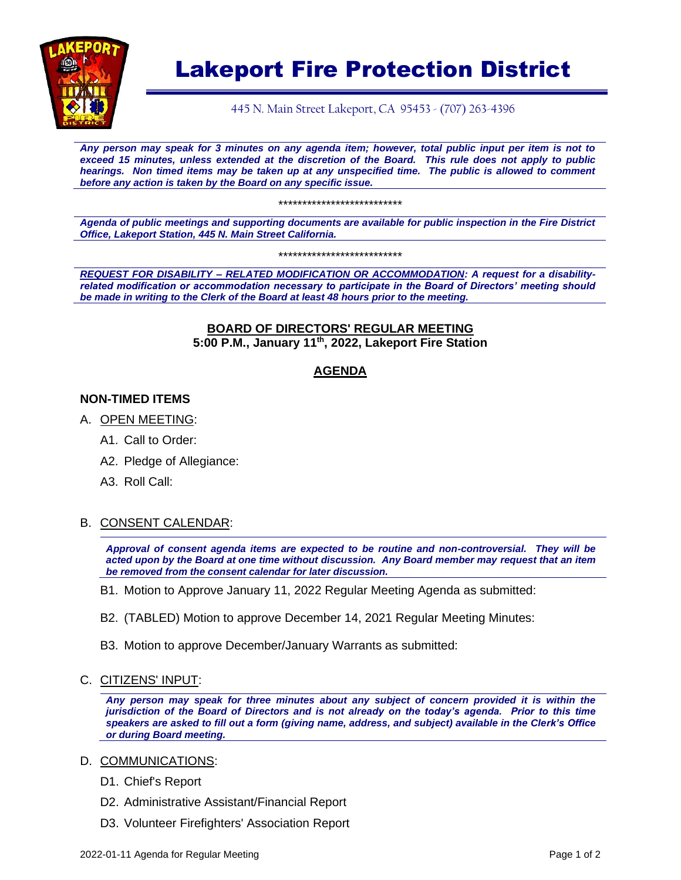

# Lakeport Fire Protection District

445 N. Main Street Lakeport, CA 95453 - (707) 263-4396

*Any person may speak for 3 minutes on any agenda item; however, total public input per item is not to exceed 15 minutes, unless extended at the discretion of the Board. This rule does not apply to public hearings. Non timed items may be taken up at any unspecified time. The public is allowed to comment before any action is taken by the Board on any specific issue.* 

\*\*\*\*\*\*\*\*\*\*\*\*\*\*\*\*\*\*\*\*\*\*\*\*\*\*

*Agenda of public meetings and supporting documents are available for public inspection in the Fire District Office, Lakeport Station, 445 N. Main Street California.*

\*\*\*\*\*\*\*\*\*\*\*\*\*\*\*\*\*\*\*\*\*\*\*\*\*\*

*REQUEST FOR DISABILITY – RELATED MODIFICATION OR ACCOMMODATION: A request for a disabilityrelated modification or accommodation necessary to participate in the Board of Directors' meeting should be made in writing to the Clerk of the Board at least 48 hours prior to the meeting.*

#### **BOARD OF DIRECTORS' REGULAR MEETING 5:00 P.M., January 11th, 2022, Lakeport Fire Station**

### **AGENDA**

#### **NON-TIMED ITEMS**

- A. OPEN MEETING:
	- A1. Call to Order:
	- A2. Pledge of Allegiance:
	- A3. Roll Call:

#### B. CONSENT CALENDAR:

*Approval of consent agenda items are expected to be routine and non-controversial. They will be acted upon by the Board at one time without discussion. Any Board member may request that an item be removed from the consent calendar for later discussion.*

- B1. Motion to Approve January 11, 2022 Regular Meeting Agenda as submitted:
- B2. (TABLED) Motion to approve December 14, 2021 Regular Meeting Minutes:
- B3. Motion to approve December/January Warrants as submitted:
- C. CITIZENS' INPUT:

*Any person may speak for three minutes about any subject of concern provided it is within the jurisdiction of the Board of Directors and is not already on the today's agenda. Prior to this time speakers are asked to fill out a form (giving name, address, and subject) available in the Clerk's Office or during Board meeting.*

#### D. COMMUNICATIONS:

- D1. Chief's Report
- D2. Administrative Assistant/Financial Report
- D3. Volunteer Firefighters' Association Report